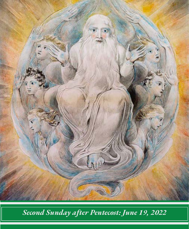

*Second Sunday after Pentecost: June 19, 2022*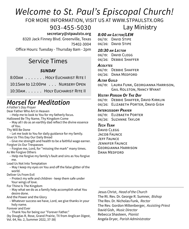# *Welcome to St. Paul's Episcopal Church!*

FOR MORE INFORMATION, VISIT US AT WWW.STPAULSTX.ORG

903-455-5030

 **secretary@stpaulstx.org**

8320 Jack Finney Blvd. Greenville, Texas 75402-3004

Office Hours: Tuesday - Thursday 8am - 2pm

## Service Times

## *SUNDAY*

8:00am . . . . . . . HOLY EUCHARIST RITE I

10:15AM to 12:00PM . . . NURSERY OPEN

10:30am . . . . . . Holy Eucharist Rite II

# *Morsel for Meditation*

*A Father's Day Prayer* 

Dear Father Who Art in Heaven

—Help me to look to You for my fatherly focus.

Hallowed Be Thy Name, Thy Kingdom Come

- May all I do as an earthly dad reflect the divine essence of You.
- Thy Will Be Done

 – Let me look to You for daily guidance for my family. Give Us This Day Our Daily Bread

 – Give me strength and health to be a faithful wage earner. Forgive Us Our Trespasses

 – Forgive me, Lord, for "missing the mark" many times. As We Forgive Others

 – Help me forgive my family's fault and sins as You forgive me.

Lead Us Not Into Temptation

 – May I keep my eyes on You and off the false glitter of the world.

Deliver Us From Evil

 – Protect my wife and children - keep them safe under Your wings of love.

For Thine Is The Kingdom

 – May what we do as a family help accomplish what You desire done.

And the Power and the Glory

 – Whatever success we have, Lord, we give thanks in your holy name.

Forever and Ever

– Thank You for being our "Forever Father."

(by Douglas R, Rose, Grand Prairie, TX from Anglican Digest, Vol. 64, No. 2, Summer 2022, 37-38)

## Lay Ministry *8:00 am Lector/LEM*

06/19: DAVID STIPE 06/26: DAVID STIPE

## *10:30 am Lector*

06/19: DAVID CLEGG 06/26: Debbie Shaffer

### *Acolytes*

06/19: Debbie Shaffer 06/26: Dana Medford

#### *Altar Guild*

06/19: Laura Funk, Georgianna Harrison, Gail Rolston, Nancy Wyant

### *Vestry Person Of The Day*

06/19: Debbie Shaffer, David Kirklin

06/26: ELIZABETH PORTER, DAVID GISH

#### *Intercessory Prayer*

06/19: Elizbaeth Porter 06/26: Suzanne Taylor

## *Tech Team*

David CLEGG JACOB FAUNCE Jeff Faunce Jennifer Faunce Georgianna Harrison Dana Medford

Jesus Christ, *Head of the Church* The Rt. Rev. Dr. George R. Sumner, *Bishop* The Rev. Dr. Nicholas Funk, *Rector* The Rev. Gordon Miltenberger, *Assisting Priest* David Gish, *Music Director* Rebecca Shasteen, *Pianist* Angela Dryer, *Parish Administrator*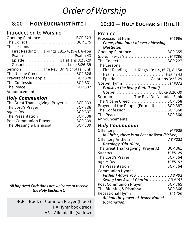# *Order of Worship*

## **8:00 — Holy Eucharist Rite I**

## Introduction to Worship

| Opening Sentence. BCP 323                                      |
|----------------------------------------------------------------|
| The Collect BCP 175                                            |
| The Lessons                                                    |
| First Reading 1 Kings 19:1-4, (5-7), 8-15a                     |
| Psalm Psalm 43                                                 |
| Epistle Galatians 3:23-29                                      |
| Gospel Luke 8:26-39                                            |
| Sermon The Rev. Dr. Nicholas Funk                              |
| The Nicene Creed BCP 326                                       |
| Prayers of the People BCP 328                                  |
| The Confession. BCP 331                                        |
| The Peace. $\ldots$ . $\ldots$ . $\ldots$ . $\ldots$ . BCP 332 |
| Announcements                                                  |

## *Holy Communion*

| The Great Thanksgiving (Prayer I). BCP 333 |  |
|--------------------------------------------|--|
| The Lord's Prayer BCP 336                  |  |
| Agnus Dei BCP 337                          |  |
| The Presentation BCP 338                   |  |
| Post Communion Prayer BCP 339              |  |
| The Blessing & Dismissal BCP 339           |  |

*All baptized Christians are welcome to receive the Holy Eucharist.* 

BCP = Book of Common Prayer (black) H= Hymnbook (red) A3 = Alleluia III (yellow)

## **10:30 — Holy Eucharist Rite II**

## Prelude

| Processional Hymn H #686                                   |
|------------------------------------------------------------|
| Come, thou fount of every blessing                         |
| (Nettleton)                                                |
| Opening Sentence. BCP 355                                  |
| Gloria in excelsis $\dots \dots \dots \dots \dots$ H#280   |
| The Collect $\ldots \ldots \ldots \ldots \ldots$ . BCP 227 |
| The Lessons                                                |
| First Reading 1 Kings 19:1-4, (5-7), 8-15a                 |
| Psalm Psalm 43                                             |
| Epistle Galatians 3:23-29                                  |
| Gospel Hymn H #372                                         |
| Praise to the living God! (Leoni)                          |
| Gospel Luke 8:26-39                                        |
| Sermon The Rev. Dr. Nicholas Funk                          |
| The Nicene Creed $\ldots \ldots \ldots \ldots$ BCP 358     |
| Prayers of the People (Form III) BCP 387                   |
| The Confession. $\ldots$ . BCP 360                         |
| The Peace. BCP 360                                         |
| Announcements                                              |

## *Holy Communion*

| Offertory H #529                            |  |  |
|---------------------------------------------|--|--|
| In Christ, there is no East or West (McKee) |  |  |
| Offertory Anthem 43 #221                    |  |  |
| Doxology (Old 100th)                        |  |  |
| The Great Thanksgiving (Prayer A) BCP 361   |  |  |
| Sanctus H#S129                              |  |  |
| The Lord's Prayer BCP 364                   |  |  |
| Agnus Dei H #S157                           |  |  |
| The Presentation BCP 364                    |  |  |
| <b>Communion Hymns</b>                      |  |  |
| Father I Adore You A3 #92                   |  |  |
| Swing Low Sweet Chariot A3 #157             |  |  |
| Post Communion Prayer BCP 365               |  |  |
| The Blessing & Dismissal BCP 366            |  |  |
| Recessional Hymn. H#450                     |  |  |
| All hail the power of Jesus' Name!          |  |  |
| (Coronation)                                |  |  |